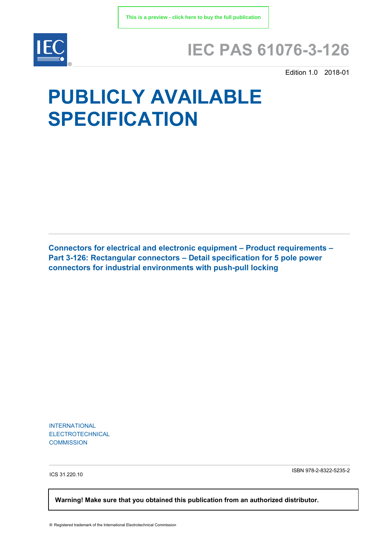

## **IEC PAS 61076-3-126**

Edition 1.0 2018-01

# **PUBLICLY AVAILABLE SPECIFICATION**

**Connectors for electrical and electronic equipment – Product requirements – Part 3-126: Rectangular connectors – Detail specification for 5 pole power connectors for industrial environments with push-pull locking**

INTERNATIONAL ELECTROTECHNICAL **COMMISSION** 

ICS 31.220.10

ISBN 978-2-8322-5235-2

 **Warning! Make sure that you obtained this publication from an authorized distributor.**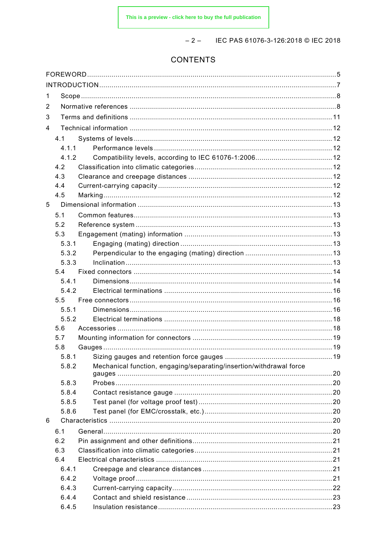$-2 -$  IEC PAS 61076-3-126:2018 © IEC 2018

### **CONTENTS**

| 1 |                |                                                                     |  |  |  |  |
|---|----------------|---------------------------------------------------------------------|--|--|--|--|
| 2 |                |                                                                     |  |  |  |  |
| 3 |                |                                                                     |  |  |  |  |
| 4 |                |                                                                     |  |  |  |  |
|   | 4.1            |                                                                     |  |  |  |  |
|   | 4.1.1          |                                                                     |  |  |  |  |
|   | 4.1.2          |                                                                     |  |  |  |  |
|   | 4.2            |                                                                     |  |  |  |  |
|   | 4.3            |                                                                     |  |  |  |  |
|   | 4.4            |                                                                     |  |  |  |  |
|   | 4.5            |                                                                     |  |  |  |  |
| 5 |                |                                                                     |  |  |  |  |
|   | 5.1            |                                                                     |  |  |  |  |
|   | 5.2            |                                                                     |  |  |  |  |
|   | 5.3            |                                                                     |  |  |  |  |
|   | 5.3.1          |                                                                     |  |  |  |  |
|   | 5.3.2          |                                                                     |  |  |  |  |
|   | 5.3.3          |                                                                     |  |  |  |  |
|   | 5.4            |                                                                     |  |  |  |  |
|   | 5.4.1          |                                                                     |  |  |  |  |
|   | 5.4.2          |                                                                     |  |  |  |  |
|   | 5.5            |                                                                     |  |  |  |  |
|   | 5.5.1          |                                                                     |  |  |  |  |
|   | 5.5.2          |                                                                     |  |  |  |  |
|   | 5.6            |                                                                     |  |  |  |  |
|   | 5.7            |                                                                     |  |  |  |  |
|   | 5.8            |                                                                     |  |  |  |  |
|   | 5.8.1<br>5.8.2 |                                                                     |  |  |  |  |
|   |                | Mechanical function, engaging/separating/insertion/withdrawal force |  |  |  |  |
|   | 5.8.3          |                                                                     |  |  |  |  |
|   | 5.8.4          |                                                                     |  |  |  |  |
|   | 5.8.5          |                                                                     |  |  |  |  |
|   | 5.8.6          |                                                                     |  |  |  |  |
| 6 |                |                                                                     |  |  |  |  |
|   | 6.1            |                                                                     |  |  |  |  |
|   | 6.2            |                                                                     |  |  |  |  |
|   | 6.3            |                                                                     |  |  |  |  |
|   | 6.4            |                                                                     |  |  |  |  |
|   | 6.4.1          |                                                                     |  |  |  |  |
|   | 6.4.2          |                                                                     |  |  |  |  |
|   | 6.4.3          |                                                                     |  |  |  |  |
|   | 6.4.4          |                                                                     |  |  |  |  |
|   | 6.4.5          |                                                                     |  |  |  |  |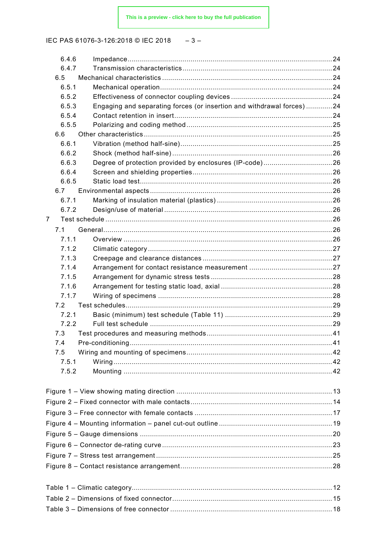IEC PAS 61076-3-126:2018 © IEC 2018  $-3-$ 

| 6.4.6          |                                                                       |    |  |  |
|----------------|-----------------------------------------------------------------------|----|--|--|
| 6.4.7          |                                                                       |    |  |  |
| 6.5            |                                                                       |    |  |  |
| 6.5.1          |                                                                       |    |  |  |
| 6.5.2          |                                                                       |    |  |  |
| 6.5.3          | Engaging and separating forces (or insertion and withdrawal forces)24 |    |  |  |
| 6.5.4          |                                                                       |    |  |  |
| 6.5.5          |                                                                       |    |  |  |
| 6.6            |                                                                       |    |  |  |
| 6.6.1          |                                                                       |    |  |  |
| 6.6.2          |                                                                       |    |  |  |
| 6.6.3          | Degree of protection provided by enclosures (IP-code)26               |    |  |  |
| 6.6.4          |                                                                       |    |  |  |
| 6.6.5          |                                                                       |    |  |  |
| 6.7            |                                                                       |    |  |  |
| 6.7.1          |                                                                       |    |  |  |
| 6.7.2          |                                                                       |    |  |  |
| 7              |                                                                       |    |  |  |
| 7.1            |                                                                       |    |  |  |
| 7.1.1          |                                                                       |    |  |  |
| 7.1.2          |                                                                       |    |  |  |
| 7.1.3          |                                                                       |    |  |  |
| 7.1.4          |                                                                       |    |  |  |
| 7.1.5<br>7.1.6 |                                                                       |    |  |  |
| 7.1.7          |                                                                       |    |  |  |
| 7.2            |                                                                       |    |  |  |
| 7.2.1          |                                                                       |    |  |  |
| 7.2.2          |                                                                       |    |  |  |
| 7.3            |                                                                       |    |  |  |
| 7.4            | Pre-conditioning                                                      | 41 |  |  |
| 7.5            |                                                                       |    |  |  |
| 7.5.1          |                                                                       |    |  |  |
| 7.5.2          |                                                                       |    |  |  |
|                |                                                                       |    |  |  |
|                |                                                                       |    |  |  |
|                |                                                                       |    |  |  |
|                |                                                                       |    |  |  |
|                |                                                                       |    |  |  |
|                |                                                                       |    |  |  |
|                |                                                                       |    |  |  |
|                |                                                                       |    |  |  |
|                |                                                                       |    |  |  |
|                |                                                                       |    |  |  |
|                |                                                                       |    |  |  |
|                |                                                                       |    |  |  |
|                |                                                                       |    |  |  |
|                |                                                                       |    |  |  |
|                |                                                                       |    |  |  |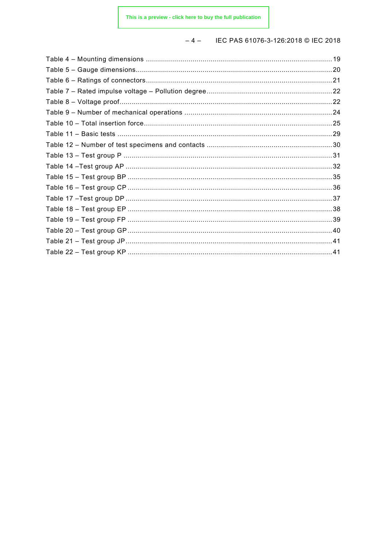#### IEC PAS 61076-3-126:2018 © IEC 2018  $-4-$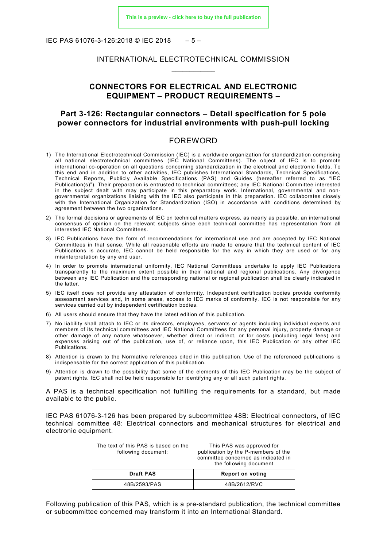IEC PAS 61076-3-126:2018 © IEC 2018 – 5 –

#### INTERNATIONAL ELECTROTECHNICAL COMMISSION \_\_\_\_\_\_\_\_\_\_\_\_

#### **CONNECTORS FOR ELECTRICAL AND ELECTRONIC EQUIPMENT – PRODUCT REQUIREMENTS –**

#### **Part 3-126: Rectangular connectors – Detail specification for 5 pole power connectors for industrial environments with push-pull locking**

#### FOREWORD

- <span id="page-4-0"></span>1) The International Electrotechnical Commission (IEC) is a worldwide organization for standardization comprising all national electrotechnical committees (IEC National Committees). The object of IEC is to promote international co-operation on all questions concerning standardization in the electrical and electronic fields. To this end and in addition to other activities, IEC publishes International Standards, Technical Specifications, Technical Reports, Publicly Available Specifications (PAS) and Guides (hereafter referred to as "IEC Publication(s)"). Their preparation is entrusted to technical committees; any IEC National Committee interested in the subject dealt with may participate in this preparatory work. International, governmental and nongovernmental organizations liaising with the IEC also participate in this preparation. IEC collaborates closely with the International Organization for Standardization (ISO) in accordance with conditions determined by agreement between the two organizations.
- 2) The formal decisions or agreements of IEC on technical matters express, as nearly as possible, an international consensus of opinion on the relevant subjects since each technical committee has representation from all interested IEC National Committees.
- 3) IEC Publications have the form of recommendations for international use and are accepted by IEC National Committees in that sense. While all reasonable efforts are made to ensure that the technical content of IEC Publications is accurate, IEC cannot be held responsible for the way in which they are used or for any misinterpretation by any end user.
- 4) In order to promote international uniformity, IEC National Committees undertake to apply IEC Publications transparently to the maximum extent possible in their national and regional publications. Any divergence between any IEC Publication and the corresponding national or regional publication shall be clearly indicated in the latter.
- 5) IEC itself does not provide any attestation of conformity. Independent certification bodies provide conformity assessment services and, in some areas, access to IEC marks of conformity. IEC is not responsible for any services carried out by independent certification bodies.
- 6) All users should ensure that they have the latest edition of this publication.
- 7) No liability shall attach to IEC or its directors, employees, servants or agents including individual experts and members of its technical committees and IEC National Committees for any personal injury, property damage or other damage of any nature whatsoever, whether direct or indirect, or for costs (including legal fees) and expenses arising out of the publication, use of, or reliance upon, this IEC Publication or any other IEC Publications.
- 8) Attention is drawn to the Normative references cited in this publication. Use of the referenced publications is indispensable for the correct application of this publication.
- 9) Attention is drawn to the possibility that some of the elements of this IEC Publication may be the subject of patent rights. IEC shall not be held responsible for identifying any or all such patent rights.

A PAS is a technical specification not fulfilling the requirements for a standard, but made available to the public.

IEC PAS 61076-3-126 has been prepared by subcommittee 48B: Electrical connectors, of IEC technical committee 48: Electrical connectors and mechanical structures for electrical and electronic equipment.

| The text of this PAS is based on the<br>following document: | This PAS was approved for<br>publication by the P-members of the<br>committee concerned as indicated in<br>the following document |  |
|-------------------------------------------------------------|-----------------------------------------------------------------------------------------------------------------------------------|--|
| <b>Draft PAS</b>                                            | Report on voting                                                                                                                  |  |
| 48B/2593/PAS                                                | 48B/2612/RVC                                                                                                                      |  |

Following publication of this PAS, which is a pre-standard publication, the technical committee or subcommittee concerned may transform it into an International Standard.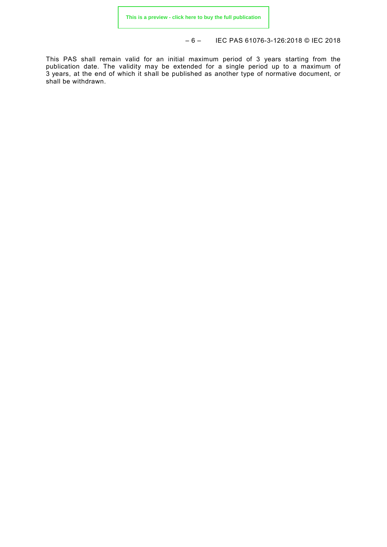– 6 – IEC PAS 61076-3-126:2018 © IEC 2018

This PAS shall remain valid for an initial maximum period of 3 years starting from the publication date. The validity may be extended for a single period up to a maximum of 3 years, at the end of which it shall be published as another type of normative document, or shall be withdrawn.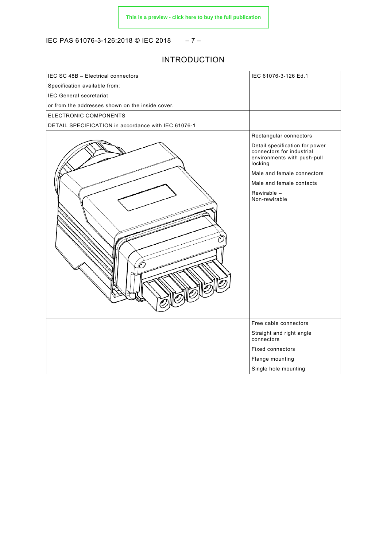IEC PAS 61076-3-126:2018 © IEC 2018 – 7 –

#### INTRODUCTION

<span id="page-6-0"></span>

| IEC SC 48B - Electrical connectors                  | IEC 61076-3-126 Ed.1                                                                                  |
|-----------------------------------------------------|-------------------------------------------------------------------------------------------------------|
| Specification available from:                       |                                                                                                       |
| <b>IEC General secretariat</b>                      |                                                                                                       |
| or from the addresses shown on the inside cover.    |                                                                                                       |
| ELECTRONIC COMPONENTS                               |                                                                                                       |
| DETAIL SPECIFICATION in accordance with IEC 61076-1 |                                                                                                       |
|                                                     | Rectangular connectors                                                                                |
|                                                     | Detail specification for power<br>connectors for industrial<br>environments with push-pull<br>locking |
|                                                     | Male and female connectors                                                                            |
|                                                     | Male and female contacts                                                                              |
|                                                     | Rewirable -<br>Non-rewirable                                                                          |
|                                                     | Free cable connectors                                                                                 |
|                                                     | Straight and right angle<br>connectors                                                                |
|                                                     | <b>Fixed connectors</b>                                                                               |
|                                                     | Flange mounting                                                                                       |
|                                                     | Single hole mounting                                                                                  |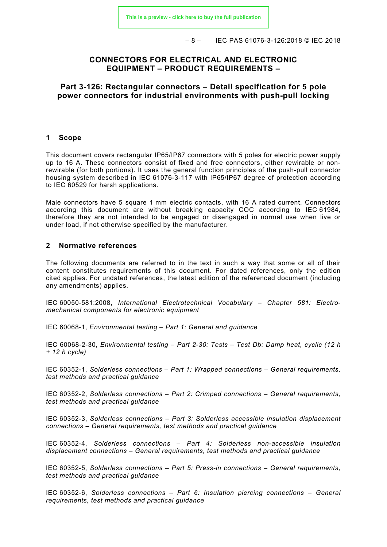– 8 – IEC PAS 61076-3-126:2018 © IEC 2018

#### **CONNECTORS FOR ELECTRICAL AND ELECTRONIC EQUIPMENT – PRODUCT REQUIREMENTS –**

**Part 3-126: Rectangular connectors – Detail specification for 5 pole power connectors for industrial environments with push-pull locking**

#### <span id="page-7-0"></span>**1 Scope**

This document covers rectangular IP65/IP67 connectors with 5 poles for electric power supply up to 16 A. These connectors consist of fixed and free connectors, either rewirable or nonrewirable (for both portions). It uses the general function principles of the push-pull connector housing system described in IEC 61076-3-117 with IP65/IP67 degree of protection according to IEC 60529 for harsh applications.

Male connectors have 5 square 1 mm electric contacts, with 16 A rated current. Connectors according this document are without breaking capacity COC according to IEC 61984, therefore they are not intended to be engaged or disengaged in normal use when live or under load, if not otherwise specified by the manufacturer.

#### <span id="page-7-1"></span>**2 Normative references**

The following documents are referred to in the text in such a way that some or all of their content constitutes requirements of this document. For dated references, only the edition cited applies. For undated references, the latest edition of the referenced document (including any amendments) applies.

IEC 60050-581:2008, *International Electrotechnical Vocabulary – Chapter 581: Electromechanical components for electronic equipment*

IEC 60068-1, *Environmental testing – Part 1: General and guidance*

IEC 60068-2-30, *Environmental testing – Part 2-30: Tests – Test Db: Damp heat, cyclic (12 h + 12 h cycle)*

IEC 60352-1, *Solderless connections – Part 1: Wrapped connections – General requirements, test methods and practical guidance*

IEC 60352-2, *Solderless connections – Part 2: Crimped connections – General requirements, test methods and practical guidance*

IEC 60352-3, *Solderless connections – Part 3: Solderless accessible insulation displacement connections – General requirements, test methods and practical guidance*

IEC 60352-4, *Solderless connections – Part 4: Solderless non-accessible insulation displacement connections – General requirements, test methods and practical guidance*

IEC 60352-5, *Solderless connections – Part 5: Press-in connections – General requirements, test methods and practical guidance*

IEC 60352-6, *Solderless connections – Part 6: Insulation piercing connections – General requirements, test methods and practical guidance*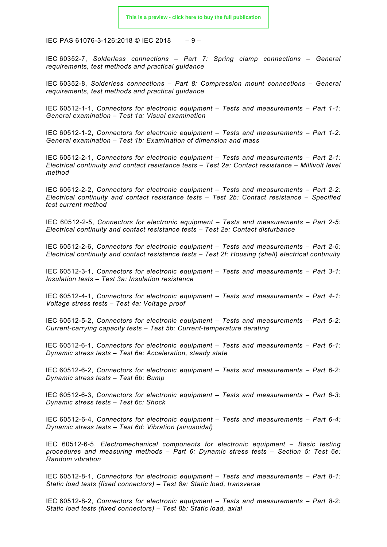IEC PAS 61076-3-126:2018 © IEC 2018 – 9 –

IEC 60352-7, *Solderless connections – Part 7: Spring clamp connections – General requirements, test methods and practical guidance*

IEC 60352-8, *Solderless connections – Part 8: Compression mount connections – General requirements, test methods and practical guidance*

IEC 60512-1-1, *Connectors for electronic equipment – Tests and measurements – Part 1-1: General examination – Test 1a: Visual examination*

IEC 60512-1-2, *Connectors for electronic equipment – Tests and measurements – Part 1-2: General examination – Test 1b: Examination of dimension and mass*

IEC 60512-2-1, *Connectors for electronic equipment – Tests and measurements – Part 2-1: Electrical continuity and contact resistance tests – Test 2a: Contact resistance – Millivolt level method*

IEC 60512-2-2, *Connectors for electronic equipment – Tests and measurements – Part 2-2: Electrical continuity and contact resistance tests – Test 2b: Contact resistance – Specified test current method*

IEC 60512-2-5, *Connectors for electronic equipment – Tests and measurements – Part 2-5: Electrical continuity and contact resistance tests – Test 2e: Contact disturbance*

IEC 60512-2-6, *Connectors for electronic equipment – Tests and measurements – Part 2-6: Electrical continuity and contact resistance tests – Test 2f: Housing (shell) electrical continuity*

IEC 60512-3-1, *Connectors for electronic equipment – Tests and measurements – Part 3-1: Insulation tests – Test 3a: Insulation resistance*

IEC 60512-4-1, *Connectors for electronic equipment – Tests and measurements – Part 4-1: Voltage stress tests – Test 4a: Voltage proof*

IEC 60512-5-2, *Connectors for electronic equipment – Tests and measurements – Part 5-2: Current-carrying capacity tests – Test 5b: Current-temperature derating*

IEC 60512-6-1, *Connectors for electronic equipment – Tests and measurements – Part 6-1: Dynamic stress tests – Test 6a: Acceleration, steady state*

IEC 60512-6-2, *Connectors for electronic equipment – Tests and measurements – Part 6-2: Dynamic stress tests – Test 6b: Bump*

IEC 60512-6-3, *Connectors for electronic equipment – Tests and measurements – Part 6-3: Dynamic stress tests – Test 6c: Shock*

IEC 60512-6-4, *Connectors for electronic equipment – Tests and measurements – Part 6-4: Dynamic stress tests – Test 6d: Vibration (sinusoidal)*

IEC 60512-6-5, *Electromechanical components for electronic equipment – Basic testing procedures and measuring methods – Part 6: Dynamic stress tests – Section 5: Test 6e: Random vibration*

IEC 60512-8-1, *Connectors for electronic equipment – Tests and measurements – Part 8-1: Static load tests (fixed connectors) – Test 8a: Static load, transverse*

IEC 60512-8-2, *Connectors for electronic equipment – Tests and measurements – Part 8-2: Static load tests (fixed connectors) – Test 8b: Static load, axial*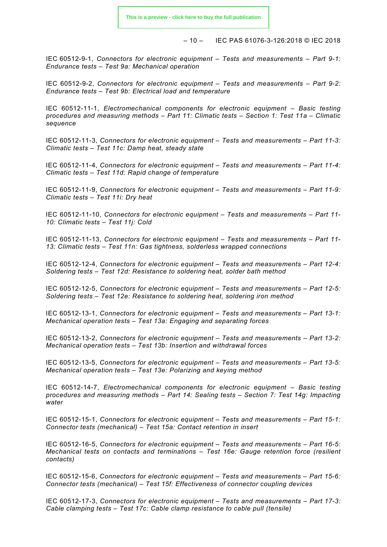– 10 – IEC PAS 61076-3-126:2018 © IEC 2018

IEC 60512-9-1, *Connectors for electronic equipment – Tests and measurements – Part 9-1: Endurance tests – Test 9a: Mechanical operation*

IEC 60512-9-2, *Connectors for electronic equipment – Tests and measurements – Part 9-2: Endurance tests – Test 9b: Electrical load and temperature*

IEC 60512-11-1, *Electromechanical components for electronic equipment – Basic testing procedures and measuring methods – Part 11: Climatic tests – Section 1: Test 11a – Climatic sequence*

IEC 60512-11-3, *Connectors for electronic equipment – Tests and measurements – Part 11-3: Climatic tests – Test 11c: Damp heat, steady state*

IEC 60512-11-4, *Connectors for electronic equipment – Tests and measurements – Part 11-4: Climatic tests – Test 11d: Rapid change of temperature*

IEC 60512-11-9, *Connectors for electronic equipment – Tests and measurements – Part 11-9: Climatic tests – Test 11i: Dry heat*

IEC 60512-11-10, *Connectors for electronic equipment – Tests and measurements – Part 11- 10: Climatic tests – Test 11j: Cold*

IEC 60512-11-13, *Connectors for electronic equipment – Tests and measurements – Part 11- 13: Climatic tests – Test 11n: Gas tightness, solderless wrapped connections*

IEC 60512-12-4, *Connectors for electronic equipment – Tests and measurements – Part 12-4: Soldering tests – Test 12d: Resistance to soldering heat, solder bath method*

IEC 60512-12-5, *Connectors for electronic equipment – Tests and measurements – Part 12-5: Soldering tests – Test 12e: Resistance to soldering heat, soldering iron method*

IEC 60512-13-1, *Connectors for electronic equipment – Tests and measurements – Part 13-1: Mechanical operation tests – Test 13a: Engaging and separating forces*

IEC 60512-13-2, *Connectors for electronic equipment – Tests and measurements – Part 13-2: Mechanical operation tests – Test 13b: Insertion and withdrawal forces*

IEC 60512-13-5, *Connectors for electronic equipment – Tests and measurements – Part 13-5: Mechanical operation tests – Test 13e: Polarizing and keying method*

IEC 60512-14-7, *Electromechanical components for electronic equipment – Basic testing procedures and measuring methods – Part 14: Sealing tests – Section 7: Test 14g: Impacting water*

IEC 60512-15-1, *Connectors for electronic equipment – Tests and measurements – Part 15-1: Connector tests (mechanical) – Test 15a: Contact retention in insert*

IEC 60512-16-5, *Connectors for electronic equipment – Tests and measurements – Part 16-5: Mechanical tests on contacts and terminations – Test 16e: Gauge retention force (resilient contacts)*

IEC 60512-15-6, *Connectors for electronic equipment – Tests and measurements – Part 15-6: Connector tests (mechanical) – Test 15f: Effectiveness of connector coupling devices*

IEC 60512-17-3, *Connectors for electronic equipment – Tests and measurements – Part 17-3: Cable clamping tests – Test 17c: Cable clamp resistance to cable pull (tensile)*